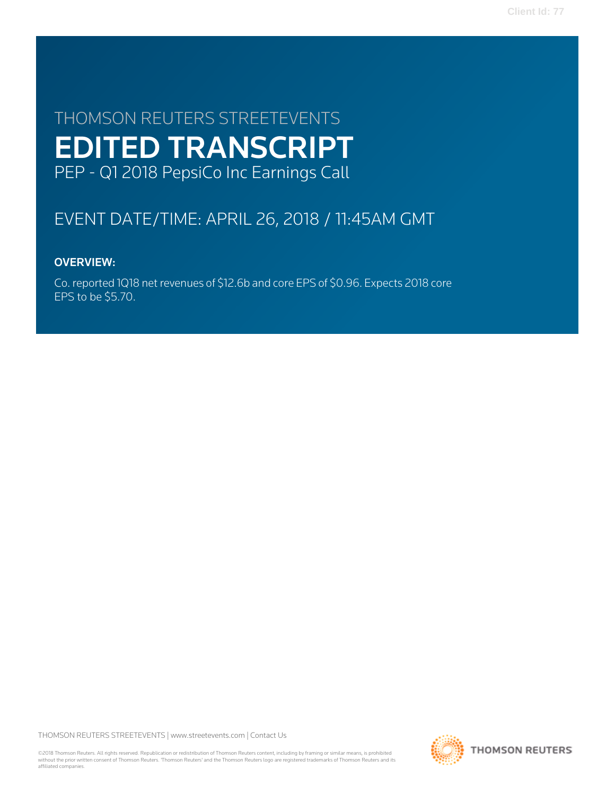# THOMSON REUTERS STREETEVENTS EDITED TRANSCRIPT PEP - Q1 2018 PepsiCo Inc Earnings Call

# EVENT DATE/TIME: APRIL 26, 2018 / 11:45AM GMT

# OVERVIEW:

Co. reported 1Q18 net revenues of \$12.6b and core EPS of \$0.96. Expects 2018 core EPS to be \$5.70.

THOMSON REUTERS STREETEVENTS | [www.streetevents.com](http://www.streetevents.com) | [Contact Us](http://www010.streetevents.com/contact.asp)

©2018 Thomson Reuters. All rights reserved. Republication or redistribution of Thomson Reuters content, including by framing or similar means, is prohibited without the prior written consent of Thomson Reuters. 'Thomson Reuters' and the Thomson Reuters logo are registered trademarks of Thomson Reuters and its affiliated companies.

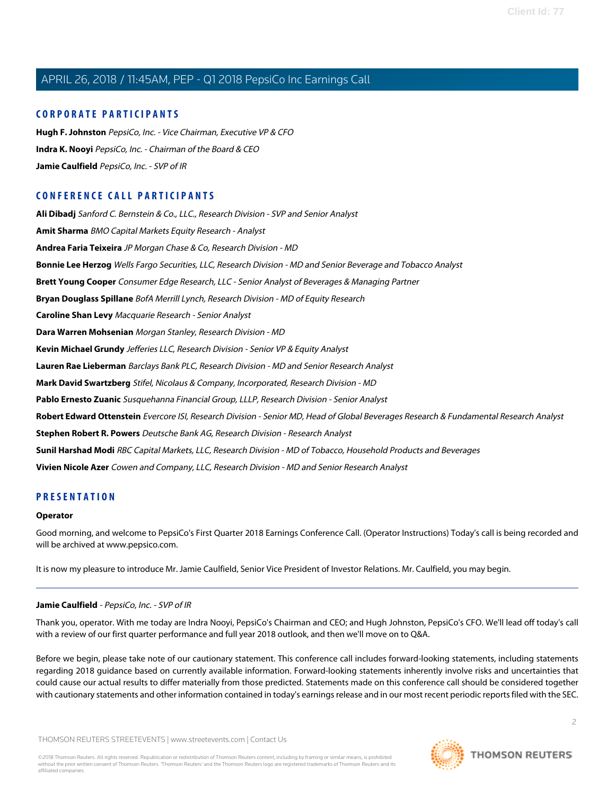# **CORPORATE PARTICIPANTS**

**[Hugh F. Johnston](#page-4-0)** PepsiCo, Inc. - Vice Chairman, Executive VP & CFO **[Indra K. Nooyi](#page-2-0)** PepsiCo, Inc. - Chairman of the Board & CEO **[Jamie Caulfield](#page-1-0)** PepsiCo, Inc. - SVP of IR

# **CONFERENCE CALL PARTICIPANTS**

**[Ali Dibadj](#page-9-0)** Sanford C. Bernstein & Co., LLC., Research Division - SVP and Senior Analyst **[Amit Sharma](#page-9-1)** BMO Capital Markets Equity Research - Analyst **[Andrea Faria Teixeira](#page-10-0)** JP Morgan Chase & Co, Research Division - MD **[Bonnie Lee Herzog](#page-13-0)** Wells Fargo Securities, LLC, Research Division - MD and Senior Beverage and Tobacco Analyst **[Brett Young Cooper](#page-15-0)** Consumer Edge Research, LLC - Senior Analyst of Beverages & Managing Partner **[Bryan Douglass Spillane](#page-7-0)** BofA Merrill Lynch, Research Division - MD of Equity Research **[Caroline Shan Levy](#page-8-0)** Macquarie Research - Senior Analyst **[Dara Warren Mohsenian](#page-5-0)** Morgan Stanley, Research Division - MD **[Kevin Michael Grundy](#page-14-0)** Jefferies LLC, Research Division - Senior VP & Equity Analyst **[Lauren Rae Lieberman](#page-6-0)** Barclays Bank PLC, Research Division - MD and Senior Research Analyst **[Mark David Swartzberg](#page-10-1)** Stifel, Nicolaus & Company, Incorporated, Research Division - MD **[Pablo Ernesto Zuanic](#page-11-0)** Susquehanna Financial Group, LLLP, Research Division - Senior Analyst **[Robert Edward Ottenstein](#page-11-1)** Evercore ISI, Research Division - Senior MD, Head of Global Beverages Research & Fundamental Research Analyst **[Stephen Robert R. Powers](#page-13-1)** Deutsche Bank AG, Research Division - Research Analyst **[Sunil Harshad Modi](#page-12-0)** RBC Capital Markets, LLC, Research Division - MD of Tobacco, Household Products and Beverages **[Vivien Nicole Azer](#page-7-1)** Cowen and Company, LLC, Research Division - MD and Senior Research Analyst

# **PRESENTATION**

## **Operator**

<span id="page-1-0"></span>Good morning, and welcome to PepsiCo's First Quarter 2018 Earnings Conference Call. (Operator Instructions) Today's call is being recorded and will be archived at www.pepsico.com.

It is now my pleasure to introduce Mr. Jamie Caulfield, Senior Vice President of Investor Relations. Mr. Caulfield, you may begin.

# **Jamie Caulfield** - PepsiCo, Inc. - SVP of IR

Thank you, operator. With me today are Indra Nooyi, PepsiCo's Chairman and CEO; and Hugh Johnston, PepsiCo's CFO. We'll lead off today's call with a review of our first quarter performance and full year 2018 outlook, and then we'll move on to Q&A.

Before we begin, please take note of our cautionary statement. This conference call includes forward-looking statements, including statements regarding 2018 guidance based on currently available information. Forward-looking statements inherently involve risks and uncertainties that could cause our actual results to differ materially from those predicted. Statements made on this conference call should be considered together with cautionary statements and other information contained in today's earnings release and in our most recent periodic reports filed with the SEC.

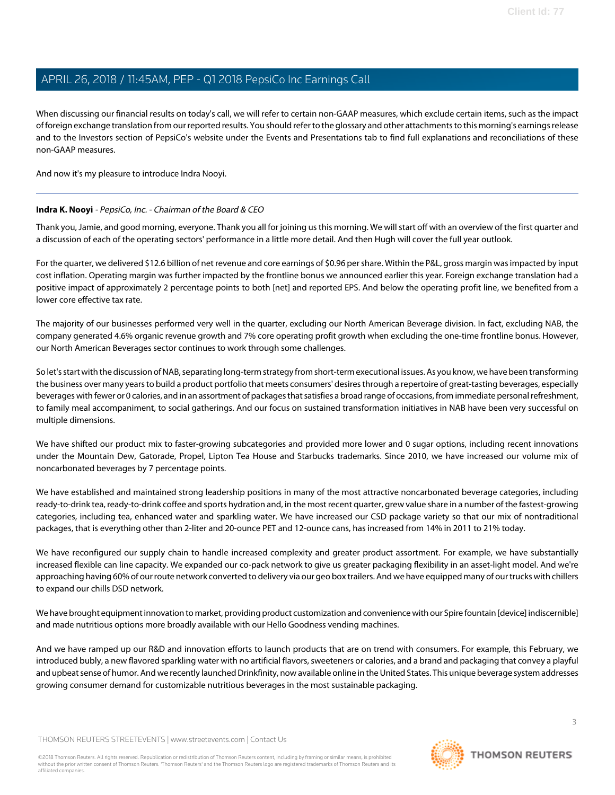When discussing our financial results on today's call, we will refer to certain non-GAAP measures, which exclude certain items, such as the impact of foreign exchange translation from our reported results. You should refer to the glossary and other attachments to this morning's earnings release and to the Investors section of PepsiCo's website under the Events and Presentations tab to find full explanations and reconciliations of these non-GAAP measures.

<span id="page-2-0"></span>And now it's my pleasure to introduce Indra Nooyi.

# **Indra K. Nooyi** - PepsiCo, Inc. - Chairman of the Board & CEO

Thank you, Jamie, and good morning, everyone. Thank you all for joining us this morning. We will start off with an overview of the first quarter and a discussion of each of the operating sectors' performance in a little more detail. And then Hugh will cover the full year outlook.

For the quarter, we delivered \$12.6 billion of net revenue and core earnings of \$0.96 per share. Within the P&L, gross margin was impacted by input cost inflation. Operating margin was further impacted by the frontline bonus we announced earlier this year. Foreign exchange translation had a positive impact of approximately 2 percentage points to both [net] and reported EPS. And below the operating profit line, we benefited from a lower core effective tax rate.

The majority of our businesses performed very well in the quarter, excluding our North American Beverage division. In fact, excluding NAB, the company generated 4.6% organic revenue growth and 7% core operating profit growth when excluding the one-time frontline bonus. However, our North American Beverages sector continues to work through some challenges.

So let's start with the discussion of NAB, separating long-term strategy from short-term executional issues. As you know, we have been transforming the business over many years to build a product portfolio that meets consumers' desires through a repertoire of great-tasting beverages, especially beverages with fewer or 0 calories, and in an assortment of packages that satisfies a broad range of occasions, from immediate personal refreshment, to family meal accompaniment, to social gatherings. And our focus on sustained transformation initiatives in NAB have been very successful on multiple dimensions.

We have shifted our product mix to faster-growing subcategories and provided more lower and 0 sugar options, including recent innovations under the Mountain Dew, Gatorade, Propel, Lipton Tea House and Starbucks trademarks. Since 2010, we have increased our volume mix of noncarbonated beverages by 7 percentage points.

We have established and maintained strong leadership positions in many of the most attractive noncarbonated beverage categories, including ready-to-drink tea, ready-to-drink coffee and sports hydration and, in the most recent quarter, grew value share in a number of the fastest-growing categories, including tea, enhanced water and sparkling water. We have increased our CSD package variety so that our mix of nontraditional packages, that is everything other than 2-liter and 20-ounce PET and 12-ounce cans, has increased from 14% in 2011 to 21% today.

We have reconfigured our supply chain to handle increased complexity and greater product assortment. For example, we have substantially increased flexible can line capacity. We expanded our co-pack network to give us greater packaging flexibility in an asset-light model. And we're approaching having 60% of our route network converted to delivery via our geo box trailers. And we have equipped many of our trucks with chillers to expand our chills DSD network.

We have brought equipment innovation to market, providing product customization and convenience with our Spire fountain [device] indiscernible] and made nutritious options more broadly available with our Hello Goodness vending machines.

And we have ramped up our R&D and innovation efforts to launch products that are on trend with consumers. For example, this February, we introduced bubly, a new flavored sparkling water with no artificial flavors, sweeteners or calories, and a brand and packaging that convey a playful and upbeat sense of humor. And we recently launched Drinkfinity, now available online in the United States. This unique beverage system addresses growing consumer demand for customizable nutritious beverages in the most sustainable packaging.

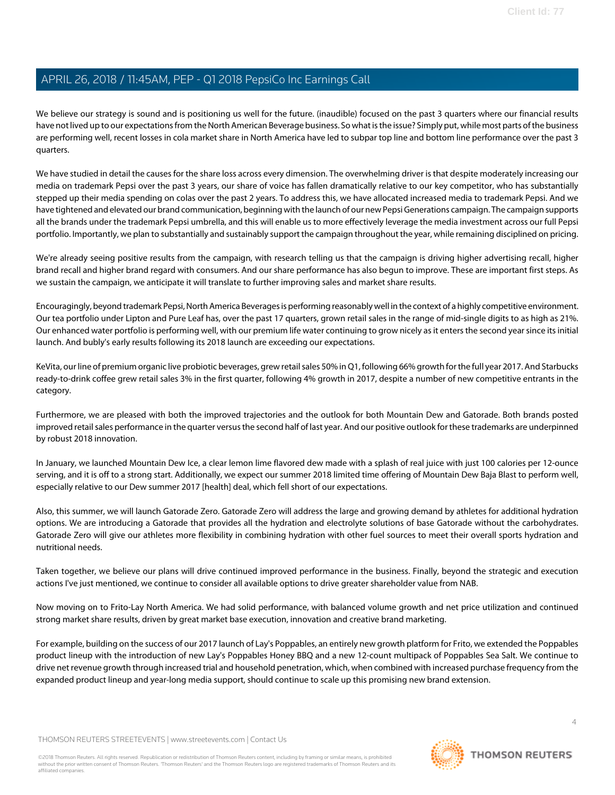We believe our strategy is sound and is positioning us well for the future. (inaudible) focused on the past 3 quarters where our financial results have not lived up to our expectations from the North American Beverage business. So what is the issue? Simply put, while most parts of the business are performing well, recent losses in cola market share in North America have led to subpar top line and bottom line performance over the past 3 quarters.

We have studied in detail the causes for the share loss across every dimension. The overwhelming driver is that despite moderately increasing our media on trademark Pepsi over the past 3 years, our share of voice has fallen dramatically relative to our key competitor, who has substantially stepped up their media spending on colas over the past 2 years. To address this, we have allocated increased media to trademark Pepsi. And we have tightened and elevated our brand communication, beginning with the launch of our new Pepsi Generations campaign. The campaign supports all the brands under the trademark Pepsi umbrella, and this will enable us to more effectively leverage the media investment across our full Pepsi portfolio. Importantly, we plan to substantially and sustainably support the campaign throughout the year, while remaining disciplined on pricing.

We're already seeing positive results from the campaign, with research telling us that the campaign is driving higher advertising recall, higher brand recall and higher brand regard with consumers. And our share performance has also begun to improve. These are important first steps. As we sustain the campaign, we anticipate it will translate to further improving sales and market share results.

Encouragingly, beyond trademark Pepsi, North America Beverages is performing reasonably well in the context of a highly competitive environment. Our tea portfolio under Lipton and Pure Leaf has, over the past 17 quarters, grown retail sales in the range of mid-single digits to as high as 21%. Our enhanced water portfolio is performing well, with our premium life water continuing to grow nicely as it enters the second year since its initial launch. And bubly's early results following its 2018 launch are exceeding our expectations.

KeVita, our line of premium organic live probiotic beverages, grew retail sales 50% in Q1, following 66% growth for the full year 2017. And Starbucks ready-to-drink coffee grew retail sales 3% in the first quarter, following 4% growth in 2017, despite a number of new competitive entrants in the category.

Furthermore, we are pleased with both the improved trajectories and the outlook for both Mountain Dew and Gatorade. Both brands posted improved retail sales performance in the quarter versus the second half of last year. And our positive outlook for these trademarks are underpinned by robust 2018 innovation.

In January, we launched Mountain Dew Ice, a clear lemon lime flavored dew made with a splash of real juice with just 100 calories per 12-ounce serving, and it is off to a strong start. Additionally, we expect our summer 2018 limited time offering of Mountain Dew Baja Blast to perform well, especially relative to our Dew summer 2017 [health] deal, which fell short of our expectations.

Also, this summer, we will launch Gatorade Zero. Gatorade Zero will address the large and growing demand by athletes for additional hydration options. We are introducing a Gatorade that provides all the hydration and electrolyte solutions of base Gatorade without the carbohydrates. Gatorade Zero will give our athletes more flexibility in combining hydration with other fuel sources to meet their overall sports hydration and nutritional needs.

Taken together, we believe our plans will drive continued improved performance in the business. Finally, beyond the strategic and execution actions I've just mentioned, we continue to consider all available options to drive greater shareholder value from NAB.

Now moving on to Frito-Lay North America. We had solid performance, with balanced volume growth and net price utilization and continued strong market share results, driven by great market base execution, innovation and creative brand marketing.

For example, building on the success of our 2017 launch of Lay's Poppables, an entirely new growth platform for Frito, we extended the Poppables product lineup with the introduction of new Lay's Poppables Honey BBQ and a new 12-count multipack of Poppables Sea Salt. We continue to drive net revenue growth through increased trial and household penetration, which, when combined with increased purchase frequency from the expanded product lineup and year-long media support, should continue to scale up this promising new brand extension.

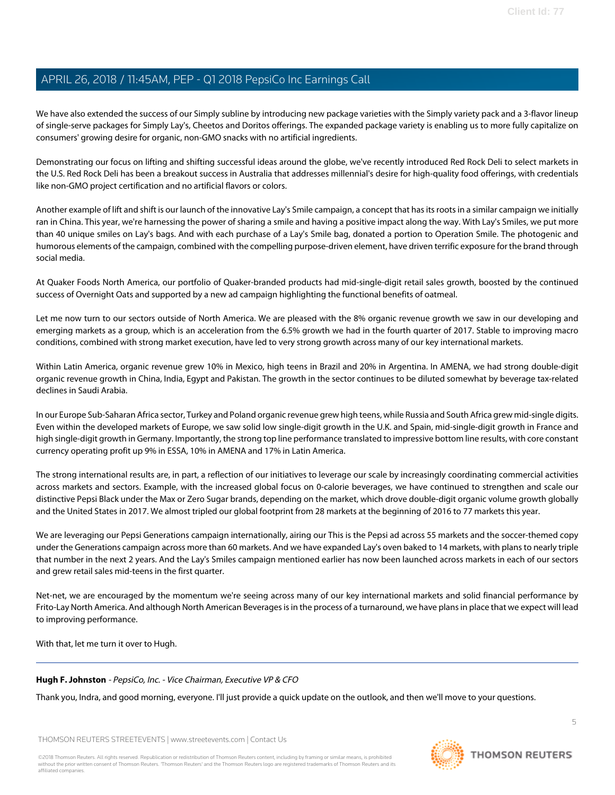We have also extended the success of our Simply subline by introducing new package varieties with the Simply variety pack and a 3-flavor lineup of single-serve packages for Simply Lay's, Cheetos and Doritos offerings. The expanded package variety is enabling us to more fully capitalize on consumers' growing desire for organic, non-GMO snacks with no artificial ingredients.

Demonstrating our focus on lifting and shifting successful ideas around the globe, we've recently introduced Red Rock Deli to select markets in the U.S. Red Rock Deli has been a breakout success in Australia that addresses millennial's desire for high-quality food offerings, with credentials like non-GMO project certification and no artificial flavors or colors.

Another example of lift and shift is our launch of the innovative Lay's Smile campaign, a concept that has its roots in a similar campaign we initially ran in China. This year, we're harnessing the power of sharing a smile and having a positive impact along the way. With Lay's Smiles, we put more than 40 unique smiles on Lay's bags. And with each purchase of a Lay's Smile bag, donated a portion to Operation Smile. The photogenic and humorous elements of the campaign, combined with the compelling purpose-driven element, have driven terrific exposure for the brand through social media.

At Quaker Foods North America, our portfolio of Quaker-branded products had mid-single-digit retail sales growth, boosted by the continued success of Overnight Oats and supported by a new ad campaign highlighting the functional benefits of oatmeal.

Let me now turn to our sectors outside of North America. We are pleased with the 8% organic revenue growth we saw in our developing and emerging markets as a group, which is an acceleration from the 6.5% growth we had in the fourth quarter of 2017. Stable to improving macro conditions, combined with strong market execution, have led to very strong growth across many of our key international markets.

Within Latin America, organic revenue grew 10% in Mexico, high teens in Brazil and 20% in Argentina. In AMENA, we had strong double-digit organic revenue growth in China, India, Egypt and Pakistan. The growth in the sector continues to be diluted somewhat by beverage tax-related declines in Saudi Arabia.

In our Europe Sub-Saharan Africa sector, Turkey and Poland organic revenue grew high teens, while Russia and South Africa grew mid-single digits. Even within the developed markets of Europe, we saw solid low single-digit growth in the U.K. and Spain, mid-single-digit growth in France and high single-digit growth in Germany. Importantly, the strong top line performance translated to impressive bottom line results, with core constant currency operating profit up 9% in ESSA, 10% in AMENA and 17% in Latin America.

The strong international results are, in part, a reflection of our initiatives to leverage our scale by increasingly coordinating commercial activities across markets and sectors. Example, with the increased global focus on 0-calorie beverages, we have continued to strengthen and scale our distinctive Pepsi Black under the Max or Zero Sugar brands, depending on the market, which drove double-digit organic volume growth globally and the United States in 2017. We almost tripled our global footprint from 28 markets at the beginning of 2016 to 77 markets this year.

We are leveraging our Pepsi Generations campaign internationally, airing our This is the Pepsi ad across 55 markets and the soccer-themed copy under the Generations campaign across more than 60 markets. And we have expanded Lay's oven baked to 14 markets, with plans to nearly triple that number in the next 2 years. And the Lay's Smiles campaign mentioned earlier has now been launched across markets in each of our sectors and grew retail sales mid-teens in the first quarter.

<span id="page-4-0"></span>Net-net, we are encouraged by the momentum we're seeing across many of our key international markets and solid financial performance by Frito-Lay North America. And although North American Beverages is in the process of a turnaround, we have plans in place that we expect will lead to improving performance.

With that, let me turn it over to Hugh.

# **Hugh F. Johnston** - PepsiCo, Inc. - Vice Chairman, Executive VP & CFO

Thank you, Indra, and good morning, everyone. I'll just provide a quick update on the outlook, and then we'll move to your questions.

THOMSON REUTERS STREETEVENTS | [www.streetevents.com](http://www.streetevents.com) | [Contact Us](http://www010.streetevents.com/contact.asp)

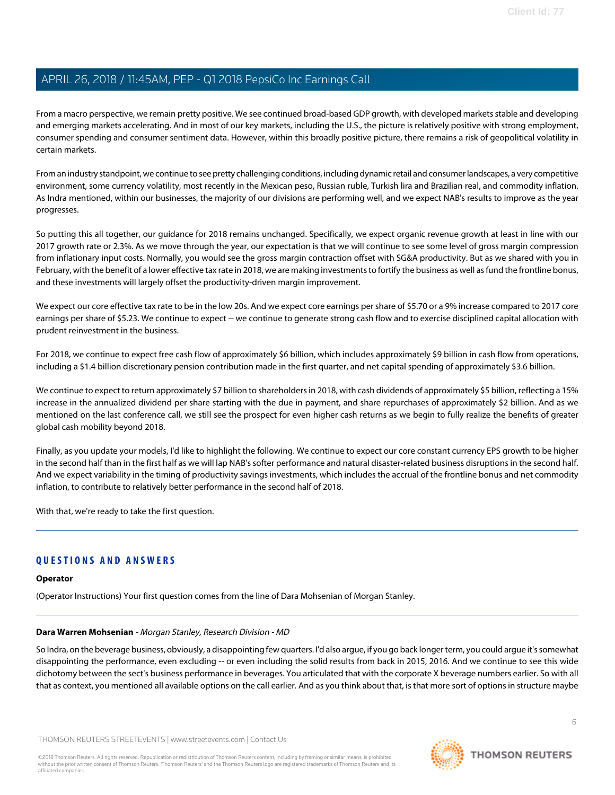From a macro perspective, we remain pretty positive. We see continued broad-based GDP growth, with developed markets stable and developing and emerging markets accelerating. And in most of our key markets, including the U.S., the picture is relatively positive with strong employment, consumer spending and consumer sentiment data. However, within this broadly positive picture, there remains a risk of geopolitical volatility in certain markets.

From an industry standpoint, we continue to see pretty challenging conditions, including dynamic retail and consumer landscapes, a very competitive environment, some currency volatility, most recently in the Mexican peso, Russian ruble, Turkish lira and Brazilian real, and commodity inflation. As Indra mentioned, within our businesses, the majority of our divisions are performing well, and we expect NAB's results to improve as the year progresses.

So putting this all together, our guidance for 2018 remains unchanged. Specifically, we expect organic revenue growth at least in line with our 2017 growth rate or 2.3%. As we move through the year, our expectation is that we will continue to see some level of gross margin compression from inflationary input costs. Normally, you would see the gross margin contraction offset with SG&A productivity. But as we shared with you in February, with the benefit of a lower effective tax rate in 2018, we are making investments to fortify the business as well as fund the frontline bonus, and these investments will largely offset the productivity-driven margin improvement.

We expect our core effective tax rate to be in the low 20s. And we expect core earnings per share of \$5.70 or a 9% increase compared to 2017 core earnings per share of \$5.23. We continue to expect -- we continue to generate strong cash flow and to exercise disciplined capital allocation with prudent reinvestment in the business.

For 2018, we continue to expect free cash flow of approximately \$6 billion, which includes approximately \$9 billion in cash flow from operations, including a \$1.4 billion discretionary pension contribution made in the first quarter, and net capital spending of approximately \$3.6 billion.

We continue to expect to return approximately \$7 billion to shareholders in 2018, with cash dividends of approximately \$5 billion, reflecting a 15% increase in the annualized dividend per share starting with the due in payment, and share repurchases of approximately \$2 billion. And as we mentioned on the last conference call, we still see the prospect for even higher cash returns as we begin to fully realize the benefits of greater global cash mobility beyond 2018.

Finally, as you update your models, I'd like to highlight the following. We continue to expect our core constant currency EPS growth to be higher in the second half than in the first half as we will lap NAB's softer performance and natural disaster-related business disruptions in the second half. And we expect variability in the timing of productivity savings investments, which includes the accrual of the frontline bonus and net commodity inflation, to contribute to relatively better performance in the second half of 2018.

With that, we're ready to take the first question.

# **QUESTIONS AND ANSWERS**

# <span id="page-5-0"></span>**Operator**

(Operator Instructions) Your first question comes from the line of Dara Mohsenian of Morgan Stanley.

## **Dara Warren Mohsenian** - Morgan Stanley, Research Division - MD

So Indra, on the beverage business, obviously, a disappointing few quarters. I'd also argue, if you go back longer term, you could argue it's somewhat disappointing the performance, even excluding -- or even including the solid results from back in 2015, 2016. And we continue to see this wide dichotomy between the sect's business performance in beverages. You articulated that with the corporate X beverage numbers earlier. So with all that as context, you mentioned all available options on the call earlier. And as you think about that, is that more sort of options in structure maybe

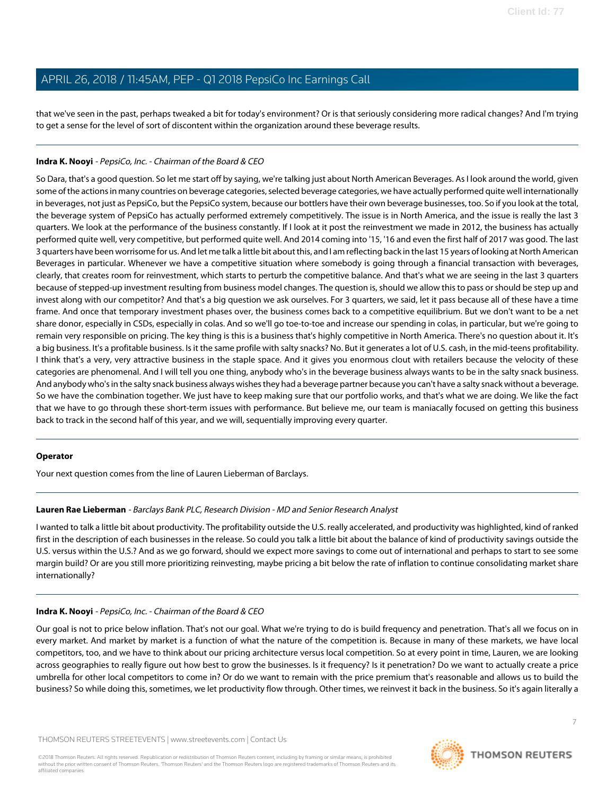that we've seen in the past, perhaps tweaked a bit for today's environment? Or is that seriously considering more radical changes? And I'm trying to get a sense for the level of sort of discontent within the organization around these beverage results.

# **Indra K. Nooyi** - PepsiCo, Inc. - Chairman of the Board & CEO

So Dara, that's a good question. So let me start off by saying, we're talking just about North American Beverages. As I look around the world, given some of the actions in many countries on beverage categories, selected beverage categories, we have actually performed quite well internationally in beverages, not just as PepsiCo, but the PepsiCo system, because our bottlers have their own beverage businesses, too. So if you look at the total, the beverage system of PepsiCo has actually performed extremely competitively. The issue is in North America, and the issue is really the last 3 quarters. We look at the performance of the business constantly. If I look at it post the reinvestment we made in 2012, the business has actually performed quite well, very competitive, but performed quite well. And 2014 coming into '15, '16 and even the first half of 2017 was good. The last 3 quarters have been worrisome for us. And let me talk a little bit about this, and I am reflecting back in the last 15 years of looking at North American Beverages in particular. Whenever we have a competitive situation where somebody is going through a financial transaction with beverages, clearly, that creates room for reinvestment, which starts to perturb the competitive balance. And that's what we are seeing in the last 3 quarters because of stepped-up investment resulting from business model changes. The question is, should we allow this to pass or should be step up and invest along with our competitor? And that's a big question we ask ourselves. For 3 quarters, we said, let it pass because all of these have a time frame. And once that temporary investment phases over, the business comes back to a competitive equilibrium. But we don't want to be a net share donor, especially in CSDs, especially in colas. And so we'll go toe-to-toe and increase our spending in colas, in particular, but we're going to remain very responsible on pricing. The key thing is this is a business that's highly competitive in North America. There's no question about it. It's a big business. It's a profitable business. Is it the same profile with salty snacks? No. But it generates a lot of U.S. cash, in the mid-teens profitability. I think that's a very, very attractive business in the staple space. And it gives you enormous clout with retailers because the velocity of these categories are phenomenal. And I will tell you one thing, anybody who's in the beverage business always wants to be in the salty snack business. And anybody who's in the salty snack business always wishes they had a beverage partner because you can't have a salty snack without a beverage. So we have the combination together. We just have to keep making sure that our portfolio works, and that's what we are doing. We like the fact that we have to go through these short-term issues with performance. But believe me, our team is maniacally focused on getting this business back to track in the second half of this year, and we will, sequentially improving every quarter.

## <span id="page-6-0"></span>**Operator**

Your next question comes from the line of Lauren Lieberman of Barclays.

## **Lauren Rae Lieberman** - Barclays Bank PLC, Research Division - MD and Senior Research Analyst

I wanted to talk a little bit about productivity. The profitability outside the U.S. really accelerated, and productivity was highlighted, kind of ranked first in the description of each businesses in the release. So could you talk a little bit about the balance of kind of productivity savings outside the U.S. versus within the U.S.? And as we go forward, should we expect more savings to come out of international and perhaps to start to see some margin build? Or are you still more prioritizing reinvesting, maybe pricing a bit below the rate of inflation to continue consolidating market share internationally?

## **Indra K. Nooyi** - PepsiCo, Inc. - Chairman of the Board & CEO

Our goal is not to price below inflation. That's not our goal. What we're trying to do is build frequency and penetration. That's all we focus on in every market. And market by market is a function of what the nature of the competition is. Because in many of these markets, we have local competitors, too, and we have to think about our pricing architecture versus local competition. So at every point in time, Lauren, we are looking across geographies to really figure out how best to grow the businesses. Is it frequency? Is it penetration? Do we want to actually create a price umbrella for other local competitors to come in? Or do we want to remain with the price premium that's reasonable and allows us to build the business? So while doing this, sometimes, we let productivity flow through. Other times, we reinvest it back in the business. So it's again literally a



7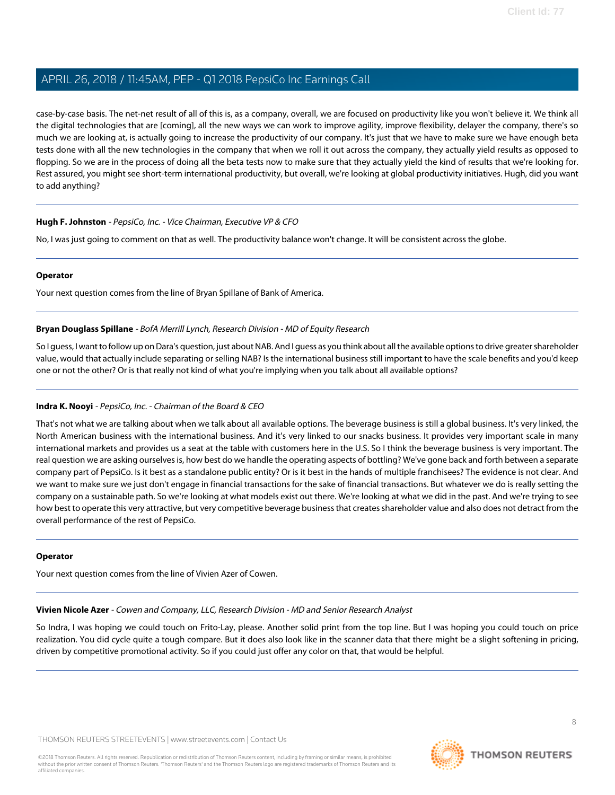case-by-case basis. The net-net result of all of this is, as a company, overall, we are focused on productivity like you won't believe it. We think all the digital technologies that are [coming], all the new ways we can work to improve agility, improve flexibility, delayer the company, there's so much we are looking at, is actually going to increase the productivity of our company. It's just that we have to make sure we have enough beta tests done with all the new technologies in the company that when we roll it out across the company, they actually yield results as opposed to flopping. So we are in the process of doing all the beta tests now to make sure that they actually yield the kind of results that we're looking for. Rest assured, you might see short-term international productivity, but overall, we're looking at global productivity initiatives. Hugh, did you want to add anything?

# **Hugh F. Johnston** - PepsiCo, Inc. - Vice Chairman, Executive VP & CFO

No, I was just going to comment on that as well. The productivity balance won't change. It will be consistent across the globe.

#### **Operator**

<span id="page-7-0"></span>Your next question comes from the line of Bryan Spillane of Bank of America.

# **Bryan Douglass Spillane** - BofA Merrill Lynch, Research Division - MD of Equity Research

So I guess, I want to follow up on Dara's question, just about NAB. And I guess as you think about all the available options to drive greater shareholder value, would that actually include separating or selling NAB? Is the international business still important to have the scale benefits and you'd keep one or not the other? Or is that really not kind of what you're implying when you talk about all available options?

## **Indra K. Nooyi** - PepsiCo, Inc. - Chairman of the Board & CEO

That's not what we are talking about when we talk about all available options. The beverage business is still a global business. It's very linked, the North American business with the international business. And it's very linked to our snacks business. It provides very important scale in many international markets and provides us a seat at the table with customers here in the U.S. So I think the beverage business is very important. The real question we are asking ourselves is, how best do we handle the operating aspects of bottling? We've gone back and forth between a separate company part of PepsiCo. Is it best as a standalone public entity? Or is it best in the hands of multiple franchisees? The evidence is not clear. And we want to make sure we just don't engage in financial transactions for the sake of financial transactions. But whatever we do is really setting the company on a sustainable path. So we're looking at what models exist out there. We're looking at what we did in the past. And we're trying to see how best to operate this very attractive, but very competitive beverage business that creates shareholder value and also does not detract from the overall performance of the rest of PepsiCo.

## <span id="page-7-1"></span>**Operator**

Your next question comes from the line of Vivien Azer of Cowen.

**Vivien Nicole Azer** - Cowen and Company, LLC, Research Division - MD and Senior Research Analyst

So Indra, I was hoping we could touch on Frito-Lay, please. Another solid print from the top line. But I was hoping you could touch on price realization. You did cycle quite a tough compare. But it does also look like in the scanner data that there might be a slight softening in pricing, driven by competitive promotional activity. So if you could just offer any color on that, that would be helpful.

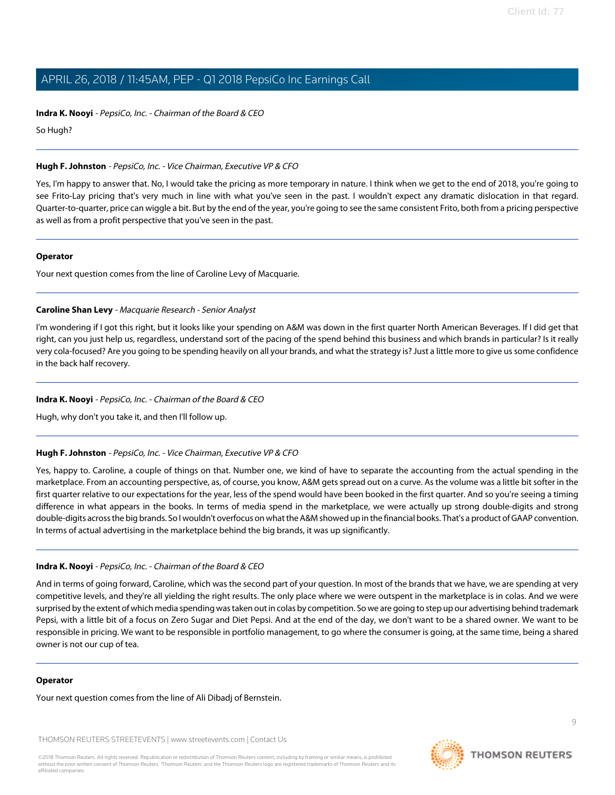**Indra K. Nooyi** - PepsiCo, Inc. - Chairman of the Board & CEO

So Hugh?

# **Hugh F. Johnston** - PepsiCo, Inc. - Vice Chairman, Executive VP & CFO

Yes, I'm happy to answer that. No, I would take the pricing as more temporary in nature. I think when we get to the end of 2018, you're going to see Frito-Lay pricing that's very much in line with what you've seen in the past. I wouldn't expect any dramatic dislocation in that regard. Quarter-to-quarter, price can wiggle a bit. But by the end of the year, you're going to see the same consistent Frito, both from a pricing perspective as well as from a profit perspective that you've seen in the past.

## **Operator**

<span id="page-8-0"></span>Your next question comes from the line of Caroline Levy of Macquarie.

# **Caroline Shan Levy** - Macquarie Research - Senior Analyst

I'm wondering if I got this right, but it looks like your spending on A&M was down in the first quarter North American Beverages. If I did get that right, can you just help us, regardless, understand sort of the pacing of the spend behind this business and which brands in particular? Is it really very cola-focused? Are you going to be spending heavily on all your brands, and what the strategy is? Just a little more to give us some confidence in the back half recovery.

# **Indra K. Nooyi** - PepsiCo, Inc. - Chairman of the Board & CEO

Hugh, why don't you take it, and then I'll follow up.

## **Hugh F. Johnston** - PepsiCo, Inc. - Vice Chairman, Executive VP & CFO

Yes, happy to. Caroline, a couple of things on that. Number one, we kind of have to separate the accounting from the actual spending in the marketplace. From an accounting perspective, as, of course, you know, A&M gets spread out on a curve. As the volume was a little bit softer in the first quarter relative to our expectations for the year, less of the spend would have been booked in the first quarter. And so you're seeing a timing difference in what appears in the books. In terms of media spend in the marketplace, we were actually up strong double-digits and strong double-digits across the big brands. So I wouldn't overfocus on what the A&M showed up in the financial books. That's a product of GAAP convention. In terms of actual advertising in the marketplace behind the big brands, it was up significantly.

## **Indra K. Nooyi** - PepsiCo, Inc. - Chairman of the Board & CEO

And in terms of going forward, Caroline, which was the second part of your question. In most of the brands that we have, we are spending at very competitive levels, and they're all yielding the right results. The only place where we were outspent in the marketplace is in colas. And we were surprised by the extent of which media spending was taken out in colas by competition. So we are going to step up our advertising behind trademark Pepsi, with a little bit of a focus on Zero Sugar and Diet Pepsi. And at the end of the day, we don't want to be a shared owner. We want to be responsible in pricing. We want to be responsible in portfolio management, to go where the consumer is going, at the same time, being a shared owner is not our cup of tea.

## **Operator**

Your next question comes from the line of Ali Dibadj of Bernstein.

THOMSON REUTERS STREETEVENTS | [www.streetevents.com](http://www.streetevents.com) | [Contact Us](http://www010.streetevents.com/contact.asp)

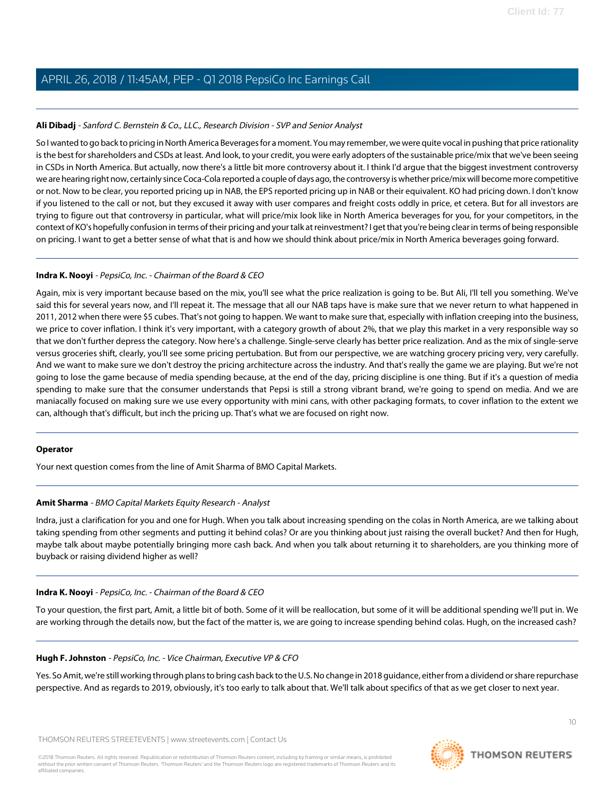# <span id="page-9-0"></span>**Ali Dibadj** - Sanford C. Bernstein & Co., LLC., Research Division - SVP and Senior Analyst

So I wanted to go back to pricing in North America Beverages for a moment. You may remember, we were quite vocal in pushing that price rationality is the best for shareholders and CSDs at least. And look, to your credit, you were early adopters of the sustainable price/mix that we've been seeing in CSDs in North America. But actually, now there's a little bit more controversy about it. I think I'd argue that the biggest investment controversy we are hearing right now, certainly since Coca-Cola reported a couple of days ago, the controversy is whether price/mix will become more competitive or not. Now to be clear, you reported pricing up in NAB, the EPS reported pricing up in NAB or their equivalent. KO had pricing down. I don't know if you listened to the call or not, but they excused it away with user compares and freight costs oddly in price, et cetera. But for all investors are trying to figure out that controversy in particular, what will price/mix look like in North America beverages for you, for your competitors, in the context of KO's hopefully confusion in terms of their pricing and your talk at reinvestment? I get that you're being clear in terms of being responsible on pricing. I want to get a better sense of what that is and how we should think about price/mix in North America beverages going forward.

## **Indra K. Nooyi** - PepsiCo, Inc. - Chairman of the Board & CEO

Again, mix is very important because based on the mix, you'll see what the price realization is going to be. But Ali, I'll tell you something. We've said this for several years now, and I'll repeat it. The message that all our NAB taps have is make sure that we never return to what happened in 2011, 2012 when there were \$5 cubes. That's not going to happen. We want to make sure that, especially with inflation creeping into the business, we price to cover inflation. I think it's very important, with a category growth of about 2%, that we play this market in a very responsible way so that we don't further depress the category. Now here's a challenge. Single-serve clearly has better price realization. And as the mix of single-serve versus groceries shift, clearly, you'll see some pricing pertubation. But from our perspective, we are watching grocery pricing very, very carefully. And we want to make sure we don't destroy the pricing architecture across the industry. And that's really the game we are playing. But we're not going to lose the game because of media spending because, at the end of the day, pricing discipline is one thing. But if it's a question of media spending to make sure that the consumer understands that Pepsi is still a strong vibrant brand, we're going to spend on media. And we are maniacally focused on making sure we use every opportunity with mini cans, with other packaging formats, to cover inflation to the extent we can, although that's difficult, but inch the pricing up. That's what we are focused on right now.

## <span id="page-9-1"></span>**Operator**

Your next question comes from the line of Amit Sharma of BMO Capital Markets.

## **Amit Sharma** - BMO Capital Markets Equity Research - Analyst

Indra, just a clarification for you and one for Hugh. When you talk about increasing spending on the colas in North America, are we talking about taking spending from other segments and putting it behind colas? Or are you thinking about just raising the overall bucket? And then for Hugh, maybe talk about maybe potentially bringing more cash back. And when you talk about returning it to shareholders, are you thinking more of buyback or raising dividend higher as well?

## **Indra K. Nooyi** - PepsiCo, Inc. - Chairman of the Board & CEO

To your question, the first part, Amit, a little bit of both. Some of it will be reallocation, but some of it will be additional spending we'll put in. We are working through the details now, but the fact of the matter is, we are going to increase spending behind colas. Hugh, on the increased cash?

## **Hugh F. Johnston** - PepsiCo, Inc. - Vice Chairman, Executive VP & CFO

Yes. So Amit, we're still working through plans to bring cash back to the U.S. No change in 2018 guidance, either from a dividend or share repurchase perspective. And as regards to 2019, obviously, it's too early to talk about that. We'll talk about specifics of that as we get closer to next year.

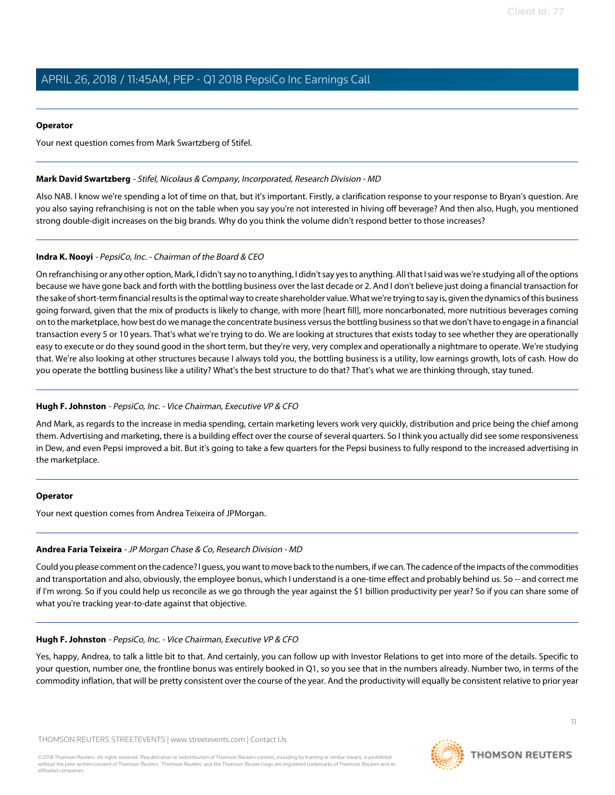# **Operator**

Your next question comes from Mark Swartzberg of Stifel.

# <span id="page-10-1"></span>**Mark David Swartzberg** - Stifel, Nicolaus & Company, Incorporated, Research Division - MD

Also NAB. I know we're spending a lot of time on that, but it's important. Firstly, a clarification response to your response to Bryan's question. Are you also saying refranchising is not on the table when you say you're not interested in hiving off beverage? And then also, Hugh, you mentioned strong double-digit increases on the big brands. Why do you think the volume didn't respond better to those increases?

# **Indra K. Nooyi** - PepsiCo, Inc. - Chairman of the Board & CEO

On refranchising or any other option, Mark, I didn't say no to anything, I didn't say yes to anything. All that I said was we're studying all of the options because we have gone back and forth with the bottling business over the last decade or 2. And I don't believe just doing a financial transaction for the sake of short-term financial results is the optimal way to create shareholder value. What we're trying to say is, given the dynamics of this business going forward, given that the mix of products is likely to change, with more [heart fill], more noncarbonated, more nutritious beverages coming on to the marketplace, how best do we manage the concentrate business versus the bottling business so that we don't have to engage in a financial transaction every 5 or 10 years. That's what we're trying to do. We are looking at structures that exists today to see whether they are operationally easy to execute or do they sound good in the short term, but they're very, very complex and operationally a nightmare to operate. We're studying that. We're also looking at other structures because I always told you, the bottling business is a utility, low earnings growth, lots of cash. How do you operate the bottling business like a utility? What's the best structure to do that? That's what we are thinking through, stay tuned.

# **Hugh F. Johnston** - PepsiCo, Inc. - Vice Chairman, Executive VP & CFO

And Mark, as regards to the increase in media spending, certain marketing levers work very quickly, distribution and price being the chief among them. Advertising and marketing, there is a building effect over the course of several quarters. So I think you actually did see some responsiveness in Dew, and even Pepsi improved a bit. But it's going to take a few quarters for the Pepsi business to fully respond to the increased advertising in the marketplace.

## <span id="page-10-0"></span>**Operator**

Your next question comes from Andrea Teixeira of JPMorgan.

# **Andrea Faria Teixeira** - JP Morgan Chase & Co, Research Division - MD

Could you please comment on the cadence? I guess, you want to move back to the numbers, if we can. The cadence of the impacts of the commodities and transportation and also, obviously, the employee bonus, which I understand is a one-time effect and probably behind us. So -- and correct me if I'm wrong. So if you could help us reconcile as we go through the year against the \$1 billion productivity per year? So if you can share some of what you're tracking year-to-date against that objective.

# **Hugh F. Johnston** - PepsiCo, Inc. - Vice Chairman, Executive VP & CFO

Yes, happy, Andrea, to talk a little bit to that. And certainly, you can follow up with Investor Relations to get into more of the details. Specific to your question, number one, the frontline bonus was entirely booked in Q1, so you see that in the numbers already. Number two, in terms of the commodity inflation, that will be pretty consistent over the course of the year. And the productivity will equally be consistent relative to prior year

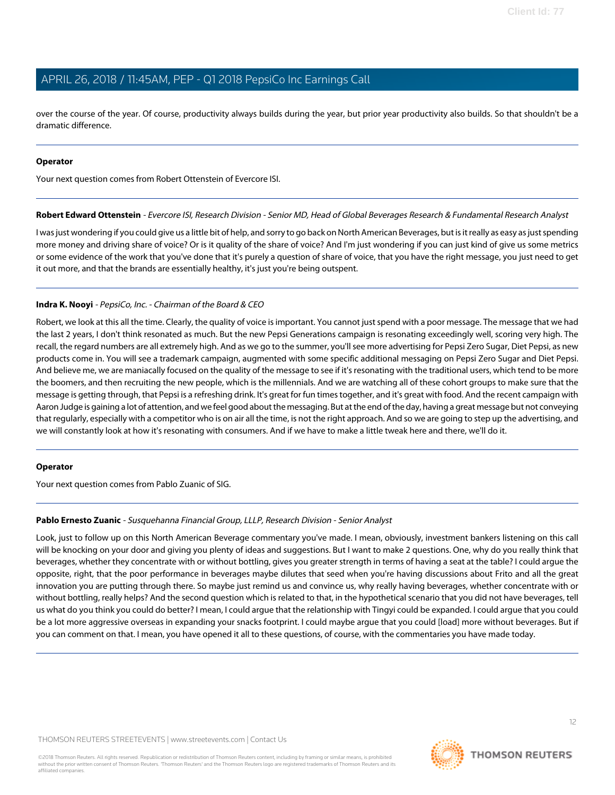over the course of the year. Of course, productivity always builds during the year, but prior year productivity also builds. So that shouldn't be a dramatic difference.

#### **Operator**

<span id="page-11-1"></span>Your next question comes from Robert Ottenstein of Evercore ISI.

#### **Robert Edward Ottenstein** - Evercore ISI, Research Division - Senior MD, Head of Global Beverages Research & Fundamental Research Analyst

I was just wondering if you could give us a little bit of help, and sorry to go back on North American Beverages, but is it really as easy as just spending more money and driving share of voice? Or is it quality of the share of voice? And I'm just wondering if you can just kind of give us some metrics or some evidence of the work that you've done that it's purely a question of share of voice, that you have the right message, you just need to get it out more, and that the brands are essentially healthy, it's just you're being outspent.

## **Indra K. Nooyi** - PepsiCo, Inc. - Chairman of the Board & CEO

Robert, we look at this all the time. Clearly, the quality of voice is important. You cannot just spend with a poor message. The message that we had the last 2 years, I don't think resonated as much. But the new Pepsi Generations campaign is resonating exceedingly well, scoring very high. The recall, the regard numbers are all extremely high. And as we go to the summer, you'll see more advertising for Pepsi Zero Sugar, Diet Pepsi, as new products come in. You will see a trademark campaign, augmented with some specific additional messaging on Pepsi Zero Sugar and Diet Pepsi. And believe me, we are maniacally focused on the quality of the message to see if it's resonating with the traditional users, which tend to be more the boomers, and then recruiting the new people, which is the millennials. And we are watching all of these cohort groups to make sure that the message is getting through, that Pepsi is a refreshing drink. It's great for fun times together, and it's great with food. And the recent campaign with Aaron Judge is gaining a lot of attention, and we feel good about the messaging. But at the end of the day, having a great message but not conveying that regularly, especially with a competitor who is on air all the time, is not the right approach. And so we are going to step up the advertising, and we will constantly look at how it's resonating with consumers. And if we have to make a little tweak here and there, we'll do it.

## <span id="page-11-0"></span>**Operator**

Your next question comes from Pablo Zuanic of SIG.

## **Pablo Ernesto Zuanic** - Susquehanna Financial Group, LLLP, Research Division - Senior Analyst

Look, just to follow up on this North American Beverage commentary you've made. I mean, obviously, investment bankers listening on this call will be knocking on your door and giving you plenty of ideas and suggestions. But I want to make 2 questions. One, why do you really think that beverages, whether they concentrate with or without bottling, gives you greater strength in terms of having a seat at the table? I could argue the opposite, right, that the poor performance in beverages maybe dilutes that seed when you're having discussions about Frito and all the great innovation you are putting through there. So maybe just remind us and convince us, why really having beverages, whether concentrate with or without bottling, really helps? And the second question which is related to that, in the hypothetical scenario that you did not have beverages, tell us what do you think you could do better? I mean, I could argue that the relationship with Tingyi could be expanded. I could argue that you could be a lot more aggressive overseas in expanding your snacks footprint. I could maybe argue that you could [load] more without beverages. But if you can comment on that. I mean, you have opened it all to these questions, of course, with the commentaries you have made today.

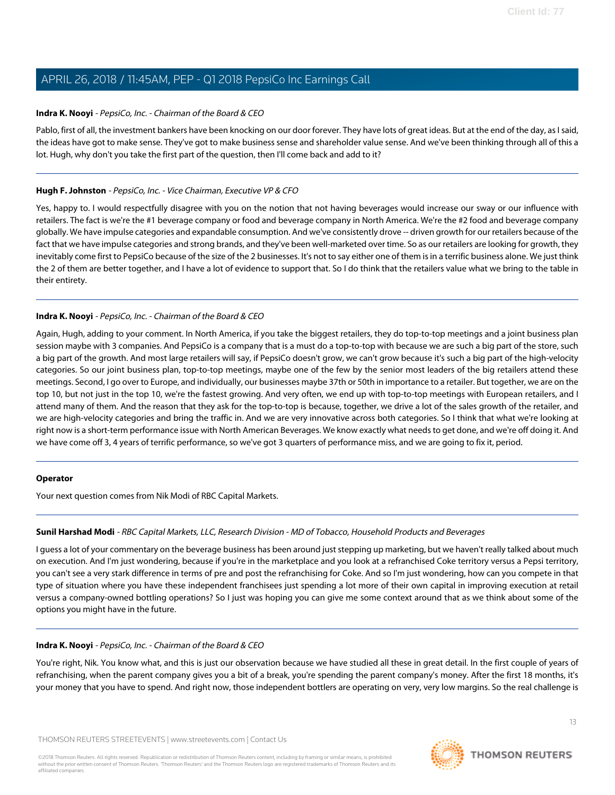# **Indra K. Nooyi** - PepsiCo, Inc. - Chairman of the Board & CEO

Pablo, first of all, the investment bankers have been knocking on our door forever. They have lots of great ideas. But at the end of the day, as I said, the ideas have got to make sense. They've got to make business sense and shareholder value sense. And we've been thinking through all of this a lot. Hugh, why don't you take the first part of the question, then I'll come back and add to it?

# **Hugh F. Johnston** - PepsiCo, Inc. - Vice Chairman, Executive VP & CFO

Yes, happy to. I would respectfully disagree with you on the notion that not having beverages would increase our sway or our influence with retailers. The fact is we're the #1 beverage company or food and beverage company in North America. We're the #2 food and beverage company globally. We have impulse categories and expandable consumption. And we've consistently drove -- driven growth for our retailers because of the fact that we have impulse categories and strong brands, and they've been well-marketed over time. So as our retailers are looking for growth, they inevitably come first to PepsiCo because of the size of the 2 businesses. It's not to say either one of them is in a terrific business alone. We just think the 2 of them are better together, and I have a lot of evidence to support that. So I do think that the retailers value what we bring to the table in their entirety.

# **Indra K. Nooyi** - PepsiCo, Inc. - Chairman of the Board & CEO

Again, Hugh, adding to your comment. In North America, if you take the biggest retailers, they do top-to-top meetings and a joint business plan session maybe with 3 companies. And PepsiCo is a company that is a must do a top-to-top with because we are such a big part of the store, such a big part of the growth. And most large retailers will say, if PepsiCo doesn't grow, we can't grow because it's such a big part of the high-velocity categories. So our joint business plan, top-to-top meetings, maybe one of the few by the senior most leaders of the big retailers attend these meetings. Second, I go over to Europe, and individually, our businesses maybe 37th or 50th in importance to a retailer. But together, we are on the top 10, but not just in the top 10, we're the fastest growing. And very often, we end up with top-to-top meetings with European retailers, and I attend many of them. And the reason that they ask for the top-to-top is because, together, we drive a lot of the sales growth of the retailer, and we are high-velocity categories and bring the traffic in. And we are very innovative across both categories. So I think that what we're looking at right now is a short-term performance issue with North American Beverages. We know exactly what needs to get done, and we're off doing it. And we have come off 3, 4 years of terrific performance, so we've got 3 quarters of performance miss, and we are going to fix it, period.

## <span id="page-12-0"></span>**Operator**

Your next question comes from Nik Modi of RBC Capital Markets.

# **Sunil Harshad Modi** - RBC Capital Markets, LLC, Research Division - MD of Tobacco, Household Products and Beverages

I guess a lot of your commentary on the beverage business has been around just stepping up marketing, but we haven't really talked about much on execution. And I'm just wondering, because if you're in the marketplace and you look at a refranchised Coke territory versus a Pepsi territory, you can't see a very stark difference in terms of pre and post the refranchising for Coke. And so I'm just wondering, how can you compete in that type of situation where you have these independent franchisees just spending a lot more of their own capital in improving execution at retail versus a company-owned bottling operations? So I just was hoping you can give me some context around that as we think about some of the options you might have in the future.

# **Indra K. Nooyi** - PepsiCo, Inc. - Chairman of the Board & CEO

You're right, Nik. You know what, and this is just our observation because we have studied all these in great detail. In the first couple of years of refranchising, when the parent company gives you a bit of a break, you're spending the parent company's money. After the first 18 months, it's your money that you have to spend. And right now, those independent bottlers are operating on very, very low margins. So the real challenge is

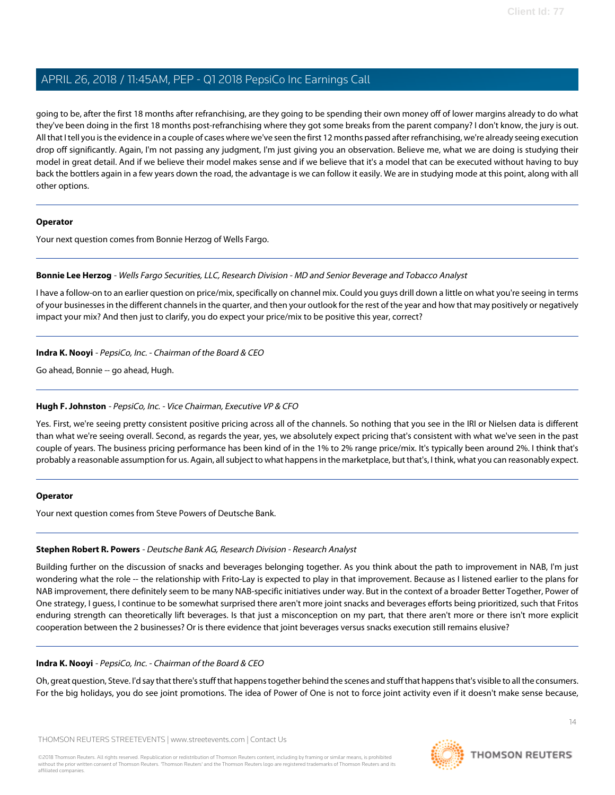going to be, after the first 18 months after refranchising, are they going to be spending their own money off of lower margins already to do what they've been doing in the first 18 months post-refranchising where they got some breaks from the parent company? I don't know, the jury is out. All that I tell you is the evidence in a couple of cases where we've seen the first 12 months passed after refranchising, we're already seeing execution drop off significantly. Again, I'm not passing any judgment, I'm just giving you an observation. Believe me, what we are doing is studying their model in great detail. And if we believe their model makes sense and if we believe that it's a model that can be executed without having to buy back the bottlers again in a few years down the road, the advantage is we can follow it easily. We are in studying mode at this point, along with all other options.

# **Operator**

<span id="page-13-0"></span>Your next question comes from Bonnie Herzog of Wells Fargo.

# **Bonnie Lee Herzog** - Wells Fargo Securities, LLC, Research Division - MD and Senior Beverage and Tobacco Analyst

I have a follow-on to an earlier question on price/mix, specifically on channel mix. Could you guys drill down a little on what you're seeing in terms of your businesses in the different channels in the quarter, and then your outlook for the rest of the year and how that may positively or negatively impact your mix? And then just to clarify, you do expect your price/mix to be positive this year, correct?

# **Indra K. Nooyi** - PepsiCo, Inc. - Chairman of the Board & CEO

Go ahead, Bonnie -- go ahead, Hugh.

# **Hugh F. Johnston** - PepsiCo, Inc. - Vice Chairman, Executive VP & CFO

Yes. First, we're seeing pretty consistent positive pricing across all of the channels. So nothing that you see in the IRI or Nielsen data is different than what we're seeing overall. Second, as regards the year, yes, we absolutely expect pricing that's consistent with what we've seen in the past couple of years. The business pricing performance has been kind of in the 1% to 2% range price/mix. It's typically been around 2%. I think that's probably a reasonable assumption for us. Again, all subject to what happens in the marketplace, but that's, I think, what you can reasonably expect.

## <span id="page-13-1"></span>**Operator**

Your next question comes from Steve Powers of Deutsche Bank.

# **Stephen Robert R. Powers** - Deutsche Bank AG, Research Division - Research Analyst

Building further on the discussion of snacks and beverages belonging together. As you think about the path to improvement in NAB, I'm just wondering what the role -- the relationship with Frito-Lay is expected to play in that improvement. Because as I listened earlier to the plans for NAB improvement, there definitely seem to be many NAB-specific initiatives under way. But in the context of a broader Better Together, Power of One strategy, I guess, I continue to be somewhat surprised there aren't more joint snacks and beverages efforts being prioritized, such that Fritos enduring strength can theoretically lift beverages. Is that just a misconception on my part, that there aren't more or there isn't more explicit cooperation between the 2 businesses? Or is there evidence that joint beverages versus snacks execution still remains elusive?

# **Indra K. Nooyi** - PepsiCo, Inc. - Chairman of the Board & CEO

Oh, great question, Steve. I'd say that there's stuff that happens together behind the scenes and stuff that happens that's visible to all the consumers. For the big holidays, you do see joint promotions. The idea of Power of One is not to force joint activity even if it doesn't make sense because,

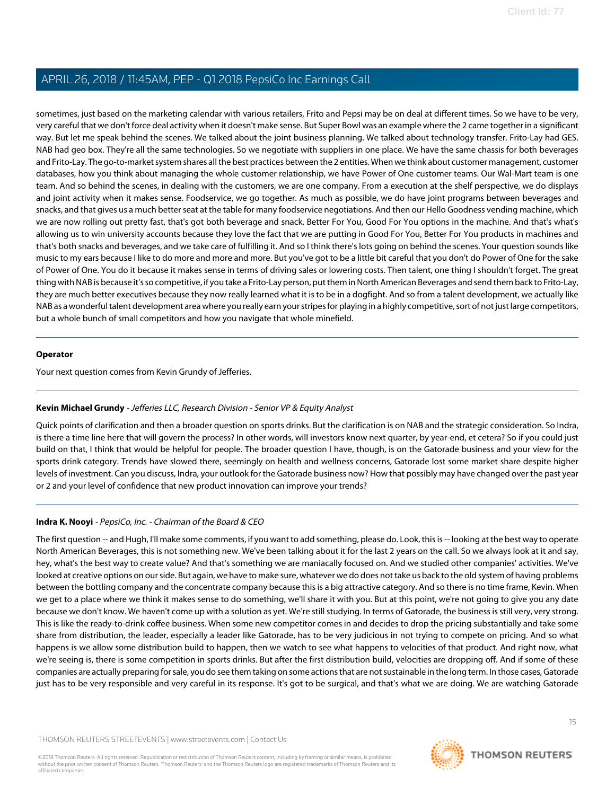sometimes, just based on the marketing calendar with various retailers, Frito and Pepsi may be on deal at different times. So we have to be very, very careful that we don't force deal activity when it doesn't make sense. But Super Bowl was an example where the 2 came together in a significant way. But let me speak behind the scenes. We talked about the joint business planning. We talked about technology transfer. Frito-Lay had GES. NAB had geo box. They're all the same technologies. So we negotiate with suppliers in one place. We have the same chassis for both beverages and Frito-Lay. The go-to-market system shares all the best practices between the 2 entities. When we think about customer management, customer databases, how you think about managing the whole customer relationship, we have Power of One customer teams. Our Wal-Mart team is one team. And so behind the scenes, in dealing with the customers, we are one company. From a execution at the shelf perspective, we do displays and joint activity when it makes sense. Foodservice, we go together. As much as possible, we do have joint programs between beverages and snacks, and that gives us a much better seat at the table for many foodservice negotiations. And then our Hello Goodness vending machine, which we are now rolling out pretty fast, that's got both beverage and snack, Better For You, Good For You options in the machine. And that's what's allowing us to win university accounts because they love the fact that we are putting in Good For You, Better For You products in machines and that's both snacks and beverages, and we take care of fulfilling it. And so I think there's lots going on behind the scenes. Your question sounds like music to my ears because I like to do more and more and more. But you've got to be a little bit careful that you don't do Power of One for the sake of Power of One. You do it because it makes sense in terms of driving sales or lowering costs. Then talent, one thing I shouldn't forget. The great thing with NAB is because it's so competitive, if you take a Frito-Lay person, put them in North American Beverages and send them back to Frito-Lay, they are much better executives because they now really learned what it is to be in a dogfight. And so from a talent development, we actually like NAB as a wonderful talent development area where you really earn your stripes for playing in a highly competitive, sort of not just large competitors, but a whole bunch of small competitors and how you navigate that whole minefield.

#### **Operator**

<span id="page-14-0"></span>Your next question comes from Kevin Grundy of Jefferies.

## **Kevin Michael Grundy** - Jefferies LLC, Research Division - Senior VP & Equity Analyst

Quick points of clarification and then a broader question on sports drinks. But the clarification is on NAB and the strategic consideration. So Indra, is there a time line here that will govern the process? In other words, will investors know next quarter, by year-end, et cetera? So if you could just build on that, I think that would be helpful for people. The broader question I have, though, is on the Gatorade business and your view for the sports drink category. Trends have slowed there, seemingly on health and wellness concerns, Gatorade lost some market share despite higher levels of investment. Can you discuss, Indra, your outlook for the Gatorade business now? How that possibly may have changed over the past year or 2 and your level of confidence that new product innovation can improve your trends?

## **Indra K. Nooyi** - PepsiCo, Inc. - Chairman of the Board & CEO

The first question -- and Hugh, I'll make some comments, if you want to add something, please do. Look, this is -- looking at the best way to operate North American Beverages, this is not something new. We've been talking about it for the last 2 years on the call. So we always look at it and say, hey, what's the best way to create value? And that's something we are maniacally focused on. And we studied other companies' activities. We've looked at creative options on our side. But again, we have to make sure, whatever we do does not take us back to the old system of having problems between the bottling company and the concentrate company because this is a big attractive category. And so there is no time frame, Kevin. When we get to a place where we think it makes sense to do something, we'll share it with you. But at this point, we're not going to give you any date because we don't know. We haven't come up with a solution as yet. We're still studying. In terms of Gatorade, the business is still very, very strong. This is like the ready-to-drink coffee business. When some new competitor comes in and decides to drop the pricing substantially and take some share from distribution, the leader, especially a leader like Gatorade, has to be very judicious in not trying to compete on pricing. And so what happens is we allow some distribution build to happen, then we watch to see what happens to velocities of that product. And right now, what we're seeing is, there is some competition in sports drinks. But after the first distribution build, velocities are dropping off. And if some of these companies are actually preparing for sale, you do see them taking on some actions that are not sustainable in the long term. In those cases, Gatorade just has to be very responsible and very careful in its response. It's got to be surgical, and that's what we are doing. We are watching Gatorade